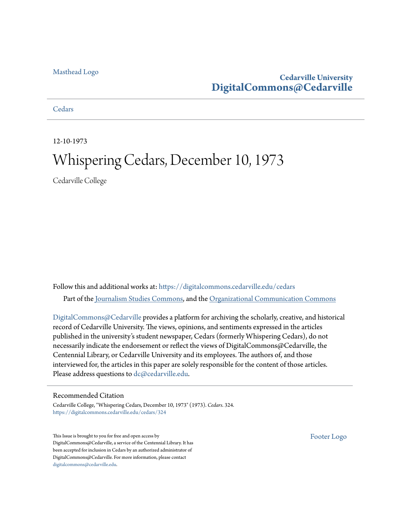### [Masthead Logo](http://www.cedarville.edu/?utm_source=digitalcommons.cedarville.edu%2Fcedars%2F324&utm_medium=PDF&utm_campaign=PDFCoverPages)

### **Cedarville University [DigitalCommons@Cedarville](https://digitalcommons.cedarville.edu?utm_source=digitalcommons.cedarville.edu%2Fcedars%2F324&utm_medium=PDF&utm_campaign=PDFCoverPages)**

### **[Cedars](https://digitalcommons.cedarville.edu/cedars?utm_source=digitalcommons.cedarville.edu%2Fcedars%2F324&utm_medium=PDF&utm_campaign=PDFCoverPages)**

12-10-1973

## Whispering Cedars, December 10, 1973

Cedarville College

Follow this and additional works at: [https://digitalcommons.cedarville.edu/cedars](https://digitalcommons.cedarville.edu/cedars?utm_source=digitalcommons.cedarville.edu%2Fcedars%2F324&utm_medium=PDF&utm_campaign=PDFCoverPages) Part of the [Journalism Studies Commons](http://network.bepress.com/hgg/discipline/333?utm_source=digitalcommons.cedarville.edu%2Fcedars%2F324&utm_medium=PDF&utm_campaign=PDFCoverPages), and the [Organizational Communication Commons](http://network.bepress.com/hgg/discipline/335?utm_source=digitalcommons.cedarville.edu%2Fcedars%2F324&utm_medium=PDF&utm_campaign=PDFCoverPages)

[DigitalCommons@Cedarville](http://digitalcommons.cedarville.edu/) provides a platform for archiving the scholarly, creative, and historical record of Cedarville University. The views, opinions, and sentiments expressed in the articles published in the university's student newspaper, Cedars (formerly Whispering Cedars), do not necessarily indicate the endorsement or reflect the views of DigitalCommons@Cedarville, the Centennial Library, or Cedarville University and its employees. The authors of, and those interviewed for, the articles in this paper are solely responsible for the content of those articles. Please address questions to [dc@cedarville.edu.](mailto:dc@cedarville.edu)

### Recommended Citation

Cedarville College, "Whispering Cedars, December 10, 1973" (1973). *Cedars*. 324. [https://digitalcommons.cedarville.edu/cedars/324](https://digitalcommons.cedarville.edu/cedars/324?utm_source=digitalcommons.cedarville.edu%2Fcedars%2F324&utm_medium=PDF&utm_campaign=PDFCoverPages)

This Issue is brought to you for free and open access by DigitalCommons@Cedarville, a service of the Centennial Library. It has been accepted for inclusion in Cedars by an authorized administrator of DigitalCommons@Cedarville. For more information, please contact [digitalcommons@cedarville.edu](mailto:digitalcommons@cedarville.edu).

[Footer Logo](http://www.cedarville.edu/Academics/Library.aspx?utm_source=digitalcommons.cedarville.edu%2Fcedars%2F324&utm_medium=PDF&utm_campaign=PDFCoverPages)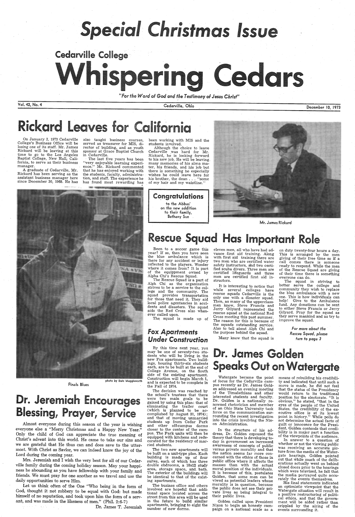# **Special Christmas Issue**

# Cedarville College  $\bullet$

*"For the Word of God and the Testimony ol Jesus Christ"* 

Vol. 42, No. 4

On January 2, 1973 Cedarville College's Business· Office will be losing one of its staff. Mr. James Rickard will be leaving at this<br>time to go to the Los Angeles Baptist College, New Hall, California, to serve as their business manager.

 The last five years has been "very enjoyable learning experi- ence." Mr. Rickard commented that he has enjoyed working with the students, faculty, administration, and staff. The experience he has found most rewarding has

A graduate of Cedarville, Mr. Rickard has been serving as the assistant business manager here since December 30, 1968. He has

also taught business courses, served as treasurer for MIS, director of building, and as youth sponsor at Grace Baptist Church in Cedarville.

Mrs. Jeremiah and I wish the very best for all of our Cedarville family during the coming holiday season. May your happiness be abounding as you have fellowship with your family and friends. We must pray for one another as we travel and use the daily opportunities to serve Him.

photo by Dale Muggleworth Finals Blues

# Dr. Jeremiah Encourages **Blessing, Prayer, Service**

Let us think often of the One "Who being in the form of God, thought it not robbery to be equal with God: but made himself of no reputation, and took upon him the form of a servant, and was made in the likeness of men." (Phil. 2:6-7)

医牙根骨 医异体

Although the choice to leave Cedarville was hard for Mr. Rickard, he is looking forward to his new job. He will be leaving. many memories of his alma mater, his friends, and his job but there is something he especially wishes he could leave here for his brother, the dean ... "some of my hair and my waistline."

Almost everyone during this season of the year is wishing everyone else a "Merry Christmas and a Happy New Year." Only the child of God can appreciate the true meaning of Christ's advent into this world. He came to take our sins and we are grateful that He thus can and does save to the uttermost. With Christ as Savior: we can indeed know the joy of the Lord during the coming year.

Congratulations to the Abbas' on the new addition to their family, Bethany Sue

Dr. James T. Jeremiah

Cedarville, Ohio

December 10, 1973

# ickard Leaves for California

been working with MIS and the students involved.



Mr. James Rickard

# $A*VS$

# Rescue Squad Has Important Role

Been to a soccer game this year? If so, then you have seen the blue ambulance which is there for any accident or injury inflected to the players. Wonder where it comes from? It is part of the equippment owned by Alpha Chi's Rescue Squad.

The Rescue Squad is a part of Alph Chi as the organization strives to be a service to the college and the community. The squad provides transportation for those that need it. They aid local police agentancies in accidents and disasters. The squad aids the Red Cross also whenever called upon.

The squad is made up of

### fox *Apartments Under Construction*

By this time next year, you may be one of seventy-two students who will be living in the new Fox apartments. Two buildings, housing thirty-six students each, are to be built at the end of College Avenue, on the South side of the existing apartment. Construction will begin March 1, and is expected to be complete in the Fall of 1974. The decision was reached by the school's trustees that there were two main goals to be gained by using this plan: that of eliminating the trailer court (which is planned to be accomplished by August 31, 1974); and that of moving unmarried students up from Cedar Park and other off-campus dorms closer to the center of the campus. The Park units will then be equipped with kitchens and redecorated for the residency of married students. The two new apartments will be built on a unit-type plan. Each building is made up of four suites, each of which has three double ebdrooms, a 10x12 study area, storage space, and\_ bath. The exterior of the buildings will be identical to that of the existing apartments. The busines office and others involved are hopeful that additional space located across the street from this area will be used in the future to build similar apartments, bringing to eight the number of new dorms.

eleven men, all who have had advance first aid training. Along<br>with first aid training there are two men who are certified water safety instructors, and two certified scuba divers. Three men are certified lifeguards and three men are certified first aid instructors.

It is interesting to notice that while several colleges have rescue squads Cedarville is the only one with a disaster squad. Then, as many of the upperclassmen know, Steve Francis and Jerry Gilyard represented the rescue squad at the national Red Cross meeting this past summer. The reason for this is because of the squads outstanding service. Also to tell about Alph Chi and the purpose behind the squad.

Many know that the squad is

### on duty twenty-four hours a day. This is arranged by the men giving of their free time so if <sup>a</sup> call comes there is someone ready to respond. While the men of their time there is something everyone can do.

The squad in striving to better serve the college and community they wish to replace the blue ambulance with a new one. This is how individuals can ·help! Give to the Ambulance fund. Any donations can be sent to either Steve Francis or Jerry Gilyard. Pray for the squad as they serve mankind and as try to improve the squad.

> *For more about the*  Rescue *Squad, pl* ease furn fo *page 3*

# Dr. James Golden **Speaks Out on Watergate**

Watergate became the point means of rebuilding his credibili-<br>of focus for the Cedarville cam- ty and indicated that until such a

pus recently as Dr. James Golden addressed an evening meeting of the Timalathians and other interested students and faculty. Dr. Golden is a nationally renowned rhetorician and member of an Ohio State University task force on the communication surrounding the recent investigation into the crisis involving the Nixon Administration.

In the structure of his address, Dr. Golden espoused the theory that there is developing today in government an increased awareness of concepts of public versus private morality and that the nation seems far more concerned with the ethics of those in public office where it affects the masses than with the actual moral position of the individuals. It is because of this, postulates Golden, that some men can be viwed as potential leaders whose morality is in question, because the public does not see their private lives as being integral to their puhlic lives.

Golden called upon President Nixon to begin an honesty campaign on a national scale as <sup>a</sup>

ty and indicated that until such a move is made, he did not feel that the status of the Presidency would return to its traditional position for the electorate. "It is obvious," he stated, "that in the eyes of the people of the United States. the credibility of the executive office is at its lowest point in history." While polls do not determine the actual facts of guilt or innocence for the President, Golden contends that credibility is in major part a function of the viewpoints of the audience.

In answer to a question of whether or not the viewing public was receiving an accurate picture from the media of the Watergate hearings, Golden pointed out that while much of the deliberations actually went on behind closed doors prior to the hearings which were televised, he felt that the media portrayed quite accurately the events themselves.

His final statements indicated an optimistic viewpoint that the Watergate situation will result in a positive restructuring of political ethics, and that the government will be aided rather than crippled by the airing of the events surrounding it.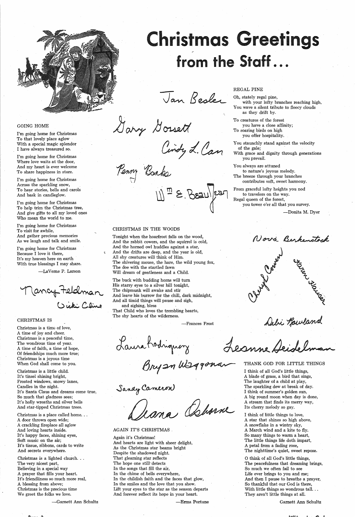

### GOING HOME

I'm going home for Christmas To that lovely place aglow With a special magic splendor I have always treasured so.

I'm going home for Christmas Where love waits at the door, And my heart is ever welcome To share happiness in store.

I'm going home for Christmas Across the sparkling snow, To hear stories, bells and carols And bask in candleglow.

Jancy teldman **(.)~C~** 

I'm going home for Christmas To help trim the Christmas tree, And give gifts to all my loved ones Who mean the world to me.

Christmas is a time of love, A time of joy and cheer. Christmas is a peaceful time, The wondrous time of year. A time of faith, a time of hope, Of friendships much more true; Christmas is a joyous time When God shall come to you.

I'm going home for Christmas To visit for awhile, And gather precious memories As we laugh and talk and smile.

I'm going home for Christmas Because I love it there, It's my heaven here on earth With true blessings I may share.

-La Verne P. Larson

Christmas is a place called home... A door thrown open wide; A crackling fireplace all aglow And loving hearts inside. It's happy faces, shining eyes, Soft music on the air; It's tissue, ribbons, cards to write And secrets everywhere.

### CHRISTMAS IS

Christmas is a little child. It's tinsel shining bright, Frosted windows, snowy lanes, Candles in the night. It's Santa Claus and dreams come true, So much that gladness sees; It's holly wreaths and silver bells And star-tipped Christmas trees.

# ristmas Greetings from the Staff...

Jan Besler

 $X$ arry Gossett

Cindy L. Can

Penny Banks

 $||\psi_{\text{m}}|| \geq |S_{\text{Sall}}|$  (san)

Christmas is a lighted church ... The very nicest part, Believing in a special way A prayer that fills your heart. It's friendliness so much more real, A blessing from above; Christmas is the precious time We greet the folks we love.

You staunchly stand against the velocity of the gale;

-Garnett Ann Schultz

Sanay Cameron<br>Deana Abarne

### CHRISTMAS IN THE WOODS

Tonight when the hoarfrost falls on the wood, And the rabbit cowers, and the squirrel is cold, And the horned owl huddles against a star, And the drifts are deep, and the year is old, All shy creatures will think of Him. The shivering mouse, the hare, the wild young fox, The doe with the startled fawn Will dream of gentleness and a Child.

The buck with budding horns will turn His starry eyes to a silver hill tonight, The chipmunk will awake and stir And leave his burrow for the chill, dark midnight, And all timid things will pause and sigh, and sighing, bless

That Child who loves the trembling hearts, The shy hearts of the wilderness.

Laura hodinguery J

### AGAIN IT'S CHRISTMAS\_

Again it's Christmas! And hearts are light with sheer delight, As the Christmas star beams bright Despite the shadowed night. That gleaming star reflects The hope one still' detects In the songs that fill the air, In the chime of bells everywhere, In the childish faith and the faces that glow, In the smiles and the love that you show. Lift your eyes to the star as the season departs And forever reflect its hope in your 'heart.

-Erma Portune

### REGAL PINE

Oh, stately regal pine, with your lofty branches reaching high, You wave a silent tribute to fleecy clouds as they drift by.

To creatures of the forest you have a close affinity; To soaring birds on high you offer hospitality.

With grace and dignity through generations you prevail.

You always are attuned to nature's joyous melody.

The breeze through your branches

contributes soft, sweet harmony. From graceful lofty heights you nod

to travelers on the way. Regal queen of the forest, you tower o'er all that you survey.

-Donita M. Dyer

Nová Berkenstock

Frances Frost<br>V Alanne Deidolend

THANK GOD FOR LITTLE THINGS

I think of all God's little things, A blade of grass, a bird that sings,

The laughter of a child at play, The sparkling dew at break of day. I think of summer's golden sun, A big round moon when day is done, A stream that finds its merry way, Its cherry melody so gay.

I think of little things to love, A star that shines so high above, A snowflake in a wintry sky, A March wind and a kite to fly. So many things to warm a heart, The little things life doth impart, A petal from a fading rose, The nighttime's quiet, sweet repose.

O think of all God's little things, The peacefulness that dreaming brings, So much we often fail to see Life ever brings to you and me; And then I pause to breathe a prayer, So thankful that our God is there, With little things so wondrous tall... They aren't little things at all.

Garnett Ann Schultz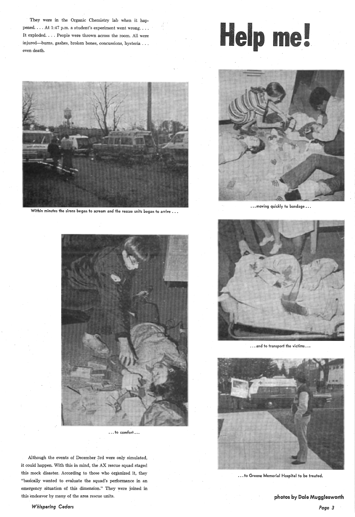They were in the Organic Chemistry lab when it happened. ... At 1:47 p.m. a student's experiment went wrong .... It exploded. . . . People were thrown across the room. All were injured-burns, gashes, broken bones, concussions, hysteria . . . even death.





Within minutes the sirens began to scream and the rescue units began to arrive  $\ldots$ 



... moving quickly to bandage...





... and to transport the victims ...



 $\ldots$  to comfort  $\ldots$ 

Although the events of December 3rd were only simulated, it could happen. With this in mind, the AX rescue squad staged this mock disaster. According to those who organized it, they "basically wanted to evaluate the squad's performance in an emergency situation of this dimension." They were joined in this endeavor by many of the area rescue units.

*Whispering Cedars* 

... to Greene Memorial Hospital to be treated.

photos by Dale Mugglesworth

*Page 3*